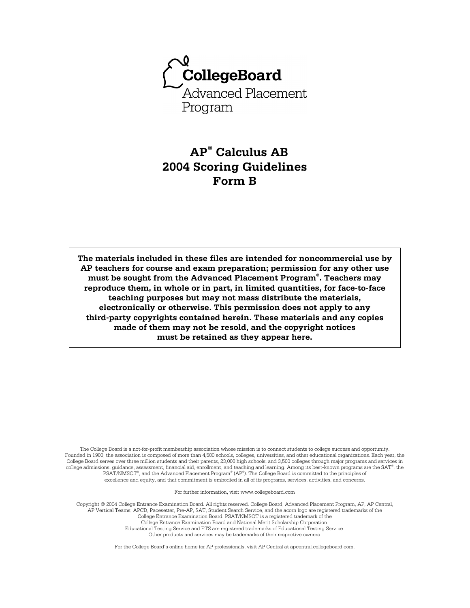

# **AP® Calculus AB 2004 Scoring Guidelines Form B**

**The materials included in these files are intended for noncommercial use by AP teachers for course and exam preparation; permission for any other use must be sought from the Advanced Placement Program® . Teachers may reproduce them, in whole or in part, in limited quantities, for face-to-face teaching purposes but may not mass distribute the materials, electronically or otherwise. This permission does not apply to any third-party copyrights contained herein. These materials and any copies made of them may not be resold, and the copyright notices must be retained as they appear here.** 

The College Board is a not-for-profit membership association whose mission is to connect students to college success and opportunity. Founded in 1900, the association is composed of more than 4,500 schools, colleges, universities, and other educational organizations. Each year, the College Board serves over three million students and their parents, 23,000 high schools, and 3,500 colleges through major programs and services in college admissions, guidance, assessment, financial aid, enrollment, and teaching and learning. Among its best-known programs are the SAT®, the PSAT/NMSQT® , and the Advanced Placement Program® (AP® ). The College Board is committed to the principles of excellence and equity, and that commitment is embodied in all of its programs, services, activities, and concerns.

For further information, visit www.collegeboard.com

Copyright © 2004 College Entrance Examination Board. All rights reserved. College Board, Advanced Placement Program, AP, AP Central, AP Vertical Teams, APCD, Pacesetter, Pre-AP, SAT, Student Search Service, and the acorn logo are registered trademarks of the College Entrance Examination Board. PSAT/NMSQT is a registered trademark of the College Entrance Examination Board and National Merit Scholarship Corporation. Educational Testing Service and ETS are registered trademarks of Educational Testing Service. Other products and services may be trademarks of their respective owners.

For the College Board's online home for AP professionals, visit AP Central at apcentral.collegeboard.com.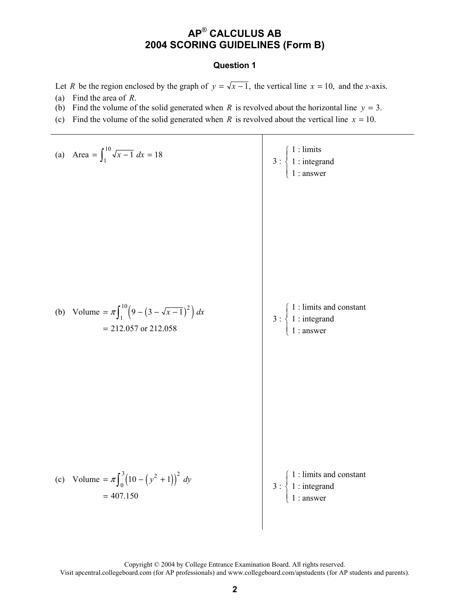#### **Question 1**

Let *R* be the region enclosed by the graph of  $y = \sqrt{x-1}$ , the vertical line  $x = 10$ , and the *x*-axis.

- (a) Find the area of *R*.
- (b) Find the volume of the solid generated when *R* is revolved about the horizontal line  $y = 3$ .
- (c) Find the volume of the solid generated when *R* is revolved about the vertical line  $x = 10$ .

(a) Area = 
$$
\int_1^{10} \sqrt{x-1} dx = 18
$$
  
\n $3: \begin{cases} 1: \text{limits} \\ 1: \text{integrand} \\ 1: \text{answer} \end{cases}$   
\n(b) Volume =  $\pi \int_1^{10} (9 - (3 - \sqrt{x-1})^2) dx$   
\n $= 212.057 \text{ or } 212.058$   
\n(c) Volume =  $\pi \int_0^3 (10 - (y^2 + 1))^2 dx$   
\n $= 407.150$   
\n $\left(\frac{1}{1}:\text{limits and constant}\right)$   
\n $3: \begin{cases} 1: \text{limits and constant} \\ 1: \text{answer} \end{cases}$   
\n $3: \begin{cases} 1: \text{limits and constant} \\ 1: \text{constant} \end{cases}$   
\n $3: \begin{cases} 1: \text{limits and constant} \\ 1: \text{insert and constant} \\ 1: \text{answer} \end{cases}$ 

Copyright © 2004 by College Entrance Examination Board. All rights reserved. Visit apcentral.collegeboard.com (for AP professionals) and www.collegeboard.com/apstudents (for AP students and parents).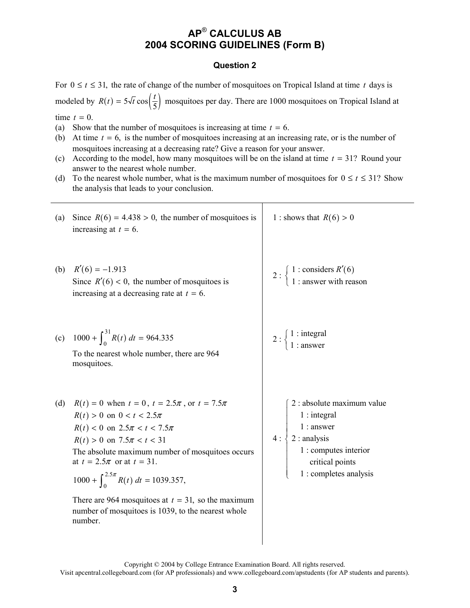#### **Question 2**

For  $0 \le t \le 31$ , the rate of change of the number of mosquitoes on Tropical Island at time t days is modeled by  $R(t) = 5\sqrt{t} \cos\left(\frac{t}{5}\right)$  mosquitoes per day. There are 1000 mosquitoes on Tropical Island at time  $t = 0$ .

(a) Show that the number of mosquitoes is increasing at time  $t = 6$ .

- (b) At time  $t = 6$ , is the number of mosquitoes increasing at an increasing rate, or is the number of mosquitoes increasing at a decreasing rate? Give a reason for your answer.
- (c) According to the model, how many mosquitoes will be on the island at time  $t = 31$ ? Round your answer to the nearest whole number.
- (d) To the nearest whole number, what is the maximum number of mosquitoes for  $0 \le t \le 31$ ? Show the analysis that leads to your conclusion.

| (a) | Since $R(6) = 4.438 > 0$ , the number of mosquitoes is<br>increasing at $t = 6$ .                                                                                                                                                                                                                                                                                                                                             | 1 : shows that $R(6) > 0$                                                                                                                         |
|-----|-------------------------------------------------------------------------------------------------------------------------------------------------------------------------------------------------------------------------------------------------------------------------------------------------------------------------------------------------------------------------------------------------------------------------------|---------------------------------------------------------------------------------------------------------------------------------------------------|
| (b) | $R'(6) = -1.913$<br>Since $R'(6) < 0$ , the number of mosquitoes is<br>increasing at a decreasing rate at $t = 6$ .                                                                                                                                                                                                                                                                                                           | 2 : $\begin{cases} 1 : \text{considers } R'(6) \\ 1 : \text{answer with reason} \end{cases}$                                                      |
|     | (c) $1000 + \int_0^{31} R(t) dt = 964.335$<br>To the nearest whole number, there are 964<br>mosquitoes.                                                                                                                                                                                                                                                                                                                       | $2:\begin{cases} 1: \text{integral} \\ 1: \text{answer} \end{cases}$                                                                              |
| (d) | $R(t) = 0$ when $t = 0$ , $t = 2.5\pi$ , or $t = 7.5\pi$<br>$R(t) > 0$ on $0 < t < 2.5\pi$<br>$R(t) < 0$ on $2.5\pi < t < 7.5\pi$<br>$R(t) > 0$ on $7.5\pi < t < 31$<br>The absolute maximum number of mosquitoes occurs<br>at $t = 2.5\pi$ or at $t = 31$ .<br>$1000 + \int_{0}^{2.5\pi} R(t) dt = 1039.357,$<br>There are 964 mosquitoes at $t = 31$ , so the maximum<br>number of mosquitoes is 1039, to the nearest whole | 2 : absolute maximum value<br>$1:$ integral<br>$1:$ answer<br>$2:$ analysis<br>1 : computes interior<br>critical points<br>1 : completes analysis |

Copyright © 2004 by College Entrance Examination Board. All rights reserved.

Visit apcentral.collegeboard.com (for AP professionals) and www.collegeboard.com/apstudents (for AP students and parents).

number.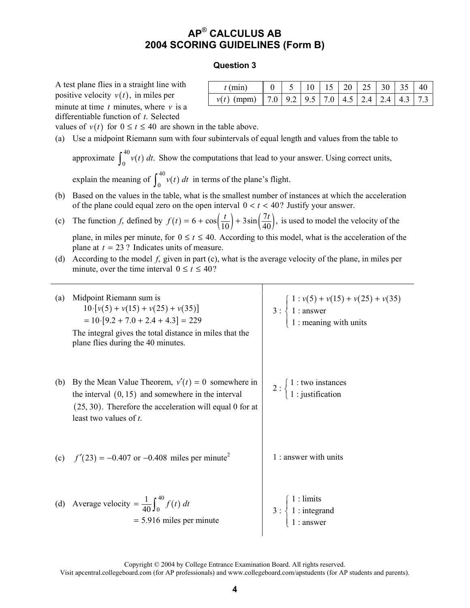#### **Question 3**

A test plane flies in a straight line with positive velocity  $v(t)$ , in miles per minute at time *t* minutes, where *v* is a differentiable function of *t*. Selected

| $t$ (min)                                                          |  |  | $0 \mid 5 \mid 10 \mid 15 \mid 20 \mid 25 \mid 30 \mid 35 \mid 40$ |  |  |
|--------------------------------------------------------------------|--|--|--------------------------------------------------------------------|--|--|
| $v(t)$ (mpm)   7.0   9.2   9.5   7.0   4.5   2.4   2.4   4.3   7.3 |  |  |                                                                    |  |  |

values of  $v(t)$  for  $0 \le t \le 40$  are shown in the table above.

(a) Use a midpoint Riemann sum with four subintervals of equal length and values from the table to

approximate  $\int_{0}^{40} v(t)$  $\int_0^{\infty} v(t) dt$ . Show the computations that lead to your answer. Using correct units, explain the meaning of  $\int_{0}^{40} v(t)$  $\int_0^{\infty} v(t) dt$  in terms of the plane's flight.

- (b) Based on the values in the table, what is the smallest number of instances at which the acceleration of the plane could equal zero on the open interval  $0 < t < 40$ ? Justify your answer.
- (c) The function *f*, defined by  $f(t) = 6 + \cos(\frac{t}{10}) + 3\sin(\frac{7t}{40})$ , is used to model the velocity of the plane, in miles per minute, for  $0 \le t \le 40$ . According to this model, what is the acceleration of the plane at  $t = 23$  ? Indicates units of measure.
- (d) According to the model *f*, given in part (c), what is the average velocity of the plane, in miles per minute, over the time interval  $0 \le t \le 40$ ?

| (a) | Midpoint Riemann sum is<br>$10 \cdot [v(5) + v(15) + v(25) + v(35)]$<br>$= 10. [9.2 + 7.0 + 2.4 + 4.3] = 229$<br>The integral gives the total distance in miles that the<br>plane flies during the 40 minutes. | 3 : $\begin{cases} 1 : v(5) + v(15) + v(25) + v(35) \\ 1 : \text{answer} \\ 1 : \text{meaning with units} \end{cases}$ |
|-----|----------------------------------------------------------------------------------------------------------------------------------------------------------------------------------------------------------------|------------------------------------------------------------------------------------------------------------------------|
| (b) | By the Mean Value Theorem, $v'(t) = 0$ somewhere in<br>the interval $(0, 15)$ and somewhere in the interval<br>$(25, 30)$ . Therefore the acceleration will equal 0 for at<br>least two values of $t$ .        | $2:\begin{cases} 1:$ two instances<br>1 : justification                                                                |
|     | (c) $f'(23) = -0.407$ or $-0.408$ miles per minute <sup>2</sup>                                                                                                                                                | 1 : answer with units                                                                                                  |
|     | (d) Average velocity = $\frac{1}{40} \int_0^{40} f(t) dt$<br>$= 5.916$ miles per minute                                                                                                                        | 3 : $\begin{cases} 1 : \text{limits} \\ 1 : \text{integrand} \\ 1 : \text{answer} \end{cases}$                         |

Copyright © 2004 by College Entrance Examination Board. All rights reserved.

Visit apcentral.collegeboard.com (for AP professionals) and www.collegeboard.com/apstudents (for AP students and parents).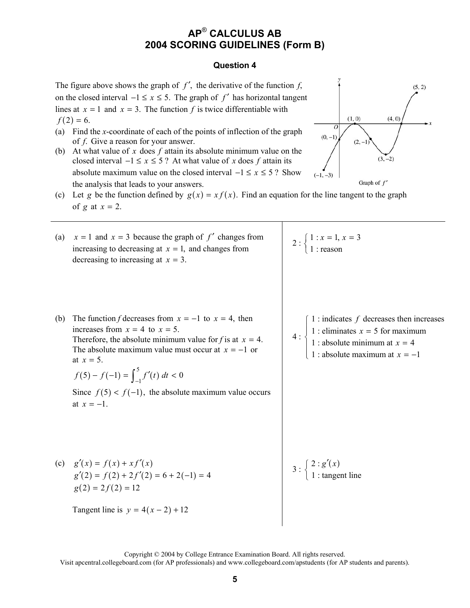#### **Question 4**

The figure above shows the graph of  $f'$ , the derivative of the function  $f$ , on the closed interval  $-1 \le x \le 5$ . The graph of *f'* has horizontal tangent lines at  $x = 1$  and  $x = 3$ . The function *f* is twice differentiable with  $f(2) = 6.$ 

- (a) Find the *x*-coordinate of each of the points of inflection of the graph of *f*. Give a reason for your answer.
- (b) At what value of *x* does *f* attain its absolute minimum value on the closed interval  $-1 \le x \le 5$ ? At what value of *x* does *f* attain its absolute maximum value on the closed interval  $-1 \le x \le 5$ ? Show the analysis that leads to your answers.



(c) Let *g* be the function defined by  $g(x) = x f(x)$ . Find an equation for the line tangent to the graph of *g* at  $x = 2$ .

| (a) | $x = 1$ and $x = 3$ because the graph of f' changes from<br>increasing to decreasing at $x = 1$ , and changes from<br>decreasing to increasing at $x = 3$ .                                                                                                                                                                                                        | 2 : $\begin{cases} 1 : x = 1, x = 3 \\ 1 : \text{reason} \end{cases}$                                                                                                       |
|-----|--------------------------------------------------------------------------------------------------------------------------------------------------------------------------------------------------------------------------------------------------------------------------------------------------------------------------------------------------------------------|-----------------------------------------------------------------------------------------------------------------------------------------------------------------------------|
| (b) | The function f decreases from $x = -1$ to $x = 4$ , then<br>increases from $x = 4$ to $x = 5$ .<br>Therefore, the absolute minimum value for f is at $x = 4$ .<br>The absolute maximum value must occur at $x = -1$ or<br>at $x = 5$ .<br>$f(5) - f(-1) = \int_{-1}^{5} f'(t) dt < 0$<br>Since $f(5) < f(-1)$ , the absolute maximum value occurs<br>at $x = -1$ . | 1 : indicates $f$ decreases then increases<br>4 : $\begin{cases} 1 :$ eliminates $x = 5$ for maximum<br>1 : absolute minimum at $x = 4$<br>1 : absolute maximum at $x = -1$ |
|     | (c) $g'(x) = f(x) + xf'(x)$<br>$g'(2) = f(2) + 2f'(2) = 6 + 2(-1) = 4$<br>$g(2) = 2f(2) = 12$                                                                                                                                                                                                                                                                      | $3: \begin{cases} 2: g'(x) \\ 1: \text{tangent line} \end{cases}$                                                                                                           |
|     | Tangent line is $y = 4(x - 2) + 12$                                                                                                                                                                                                                                                                                                                                |                                                                                                                                                                             |

Copyright © 2004 by College Entrance Examination Board. All rights reserved. Visit apcentral.collegeboard.com (for AP professionals) and www.collegeboard.com/apstudents (for AP students and parents).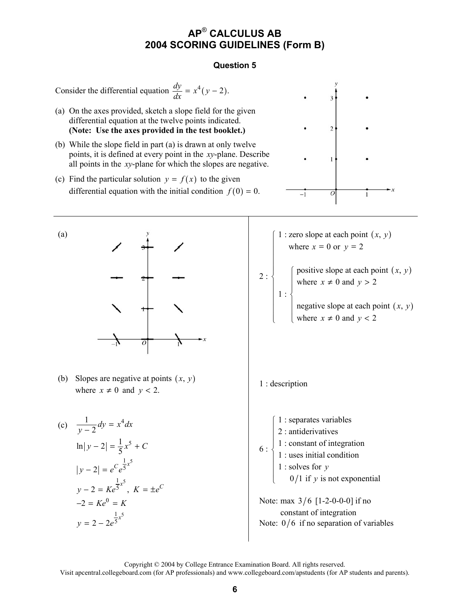### **Question 5**

Consider the differential equation  $\frac{dy}{dx} = x^4(y - 2)$ .

- (a) On the axes provided, sketch a slope field for the given differential equation at the twelve points indicated. **(Note: Use the axes provided in the test booklet.)**
- (b) While the slope field in part (a) is drawn at only twelve points, it is defined at every point in the *xy*-plane. Describe all points in the *xy*-plane for which the slopes are negative.
- (c) Find the particular solution  $y = f(x)$  to the given differential equation with the initial condition  $f(0) = 0$ .



(b) Slopes are negative at points  $(x, y)$ shopes are hegative at points  $(x, y)$ <br>where  $x \neq 0$  and  $y < 2$ .

(c) 
$$
\frac{1}{y-2}dy = x^4 dx
$$
  
\n $\ln|y-2| = \frac{1}{5}x^5 + C$   
\n $|y-2| = e^C e^{\frac{1}{5}x^5}$   
\n $y-2 = Ke^{\frac{1}{5}x^5}$ ,  $K = \pm e^C$   
\n $-2 = Ke^0 = K$   
\n $y = 2 - 2e^{\frac{1}{5}x^5}$ 







Copyright © 2004 by College Entrance Examination Board. All rights reserved.

Visit apcentral.collegeboard.com (for AP professionals) and www.collegeboard.com/apstudents (for AP students and parents).